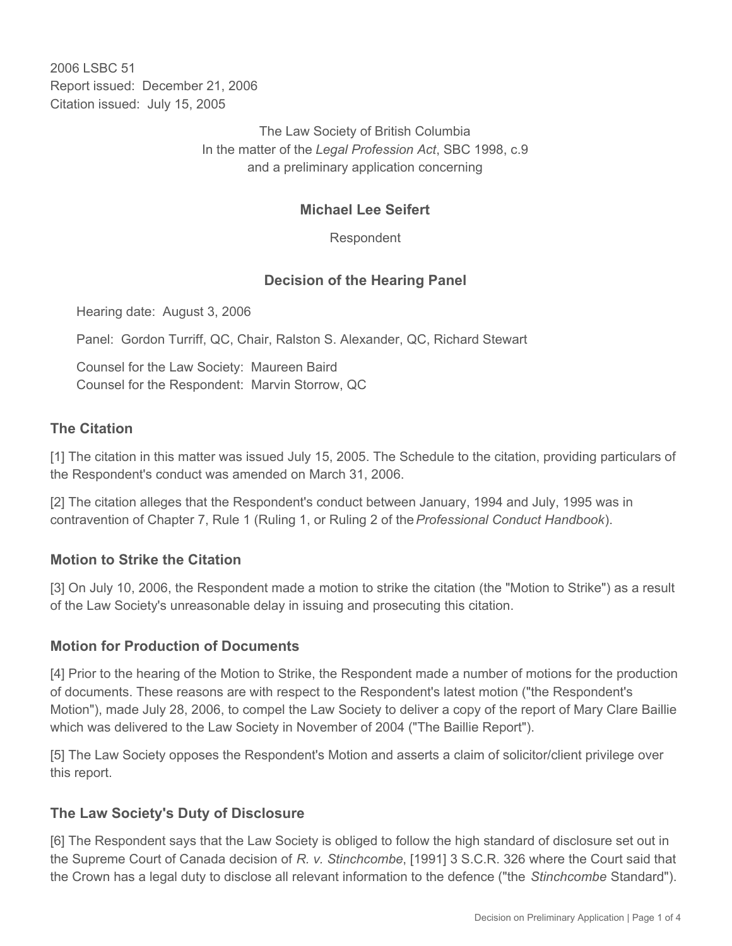2006 LSBC 51 Report issued: December 21, 2006 Citation issued: July 15, 2005

> The Law Society of British Columbia In the matter of the *Legal Profession Act*, SBC 1998, c.9 and a preliminary application concerning

## **Michael Lee Seifert**

Respondent

## **Decision of the Hearing Panel**

Hearing date: August 3, 2006

Panel: Gordon Turriff, QC, Chair, Ralston S. Alexander, QC, Richard Stewart

Counsel for the Law Society: Maureen Baird Counsel for the Respondent: Marvin Storrow, QC

#### **The Citation**

[1] The citation in this matter was issued July 15, 2005. The Schedule to the citation, providing particulars of the Respondent's conduct was amended on March 31, 2006.

[2] The citation alleges that the Respondent's conduct between January, 1994 and July, 1995 was in contravention of Chapter 7, Rule 1 (Ruling 1, or Ruling 2 of the *Professional Conduct Handbook*).

#### **Motion to Strike the Citation**

[3] On July 10, 2006, the Respondent made a motion to strike the citation (the "Motion to Strike") as a result of the Law Society's unreasonable delay in issuing and prosecuting this citation.

#### **Motion for Production of Documents**

[4] Prior to the hearing of the Motion to Strike, the Respondent made a number of motions for the production of documents. These reasons are with respect to the Respondent's latest motion ("the Respondent's Motion"), made July 28, 2006, to compel the Law Society to deliver a copy of the report of Mary Clare Baillie which was delivered to the Law Society in November of 2004 ("The Baillie Report").

[5] The Law Society opposes the Respondent's Motion and asserts a claim of solicitor/client privilege over this report.

#### **The Law Society's Duty of Disclosure**

[6] The Respondent says that the Law Society is obliged to follow the high standard of disclosure set out in the Supreme Court of Canada decision of *R. v. Stinchcombe*, [1991] 3 S.C.R. 326 where the Court said that the Crown has a legal duty to disclose all relevant information to the defence ("the *Stinchcombe* Standard").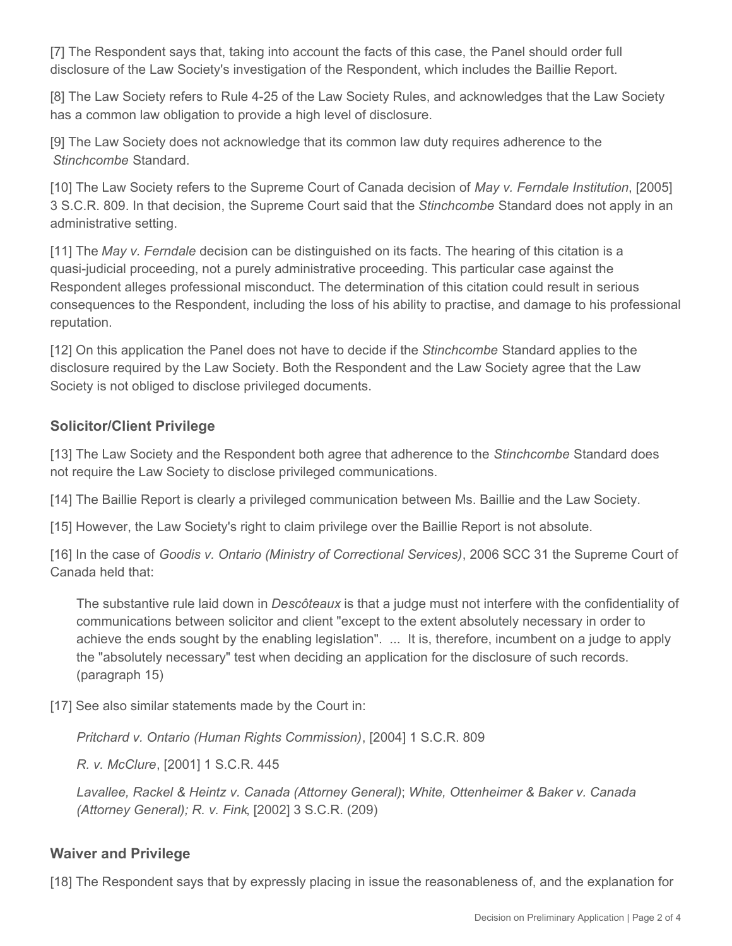[7] The Respondent says that, taking into account the facts of this case, the Panel should order full disclosure of the Law Society's investigation of the Respondent, which includes the Baillie Report.

[8] The Law Society refers to Rule 4-25 of the Law Society Rules, and acknowledges that the Law Society has a common law obligation to provide a high level of disclosure.

[9] The Law Society does not acknowledge that its common law duty requires adherence to the *Stinchcombe* Standard.

[10] The Law Society refers to the Supreme Court of Canada decision of *May v. Ferndale Institution*, [2005] 3 S.C.R. 809. In that decision, the Supreme Court said that the *Stinchcombe* Standard does not apply in an administrative setting.

[11] The *May v. Ferndale* decision can be distinguished on its facts. The hearing of this citation is a quasi-judicial proceeding, not a purely administrative proceeding. This particular case against the Respondent alleges professional misconduct. The determination of this citation could result in serious consequences to the Respondent, including the loss of his ability to practise, and damage to his professional reputation.

[12] On this application the Panel does not have to decide if the *Stinchcombe* Standard applies to the disclosure required by the Law Society. Both the Respondent and the Law Society agree that the Law Society is not obliged to disclose privileged documents.

## **Solicitor/Client Privilege**

[13] The Law Society and the Respondent both agree that adherence to the *Stinchcombe* Standard does not require the Law Society to disclose privileged communications.

[14] The Baillie Report is clearly a privileged communication between Ms. Baillie and the Law Society.

[15] However, the Law Society's right to claim privilege over the Baillie Report is not absolute.

[16] In the case of *Goodis v. Ontario (Ministry of Correctional Services)*, 2006 SCC 31 the Supreme Court of Canada held that:

The substantive rule laid down in *Descôteaux* is that a judge must not interfere with the confidentiality of communications between solicitor and client "except to the extent absolutely necessary in order to achieve the ends sought by the enabling legislation". ... It is, therefore, incumbent on a judge to apply the "absolutely necessary" test when deciding an application for the disclosure of such records. (paragraph 15)

[17] See also similar statements made by the Court in:

*Pritchard v. Ontario (Human Rights Commission)*, [2004] 1 S.C.R. 809

*R. v. McClure*, [2001] 1 S.C.R. 445

*Lavallee, Rackel & Heintz v. Canada (Attorney General)*; *White, Ottenheimer & Baker v. Canada (Attorney General); R. v. Fink*, [2002] 3 S.C.R. (209)

#### **Waiver and Privilege**

[18] The Respondent says that by expressly placing in issue the reasonableness of, and the explanation for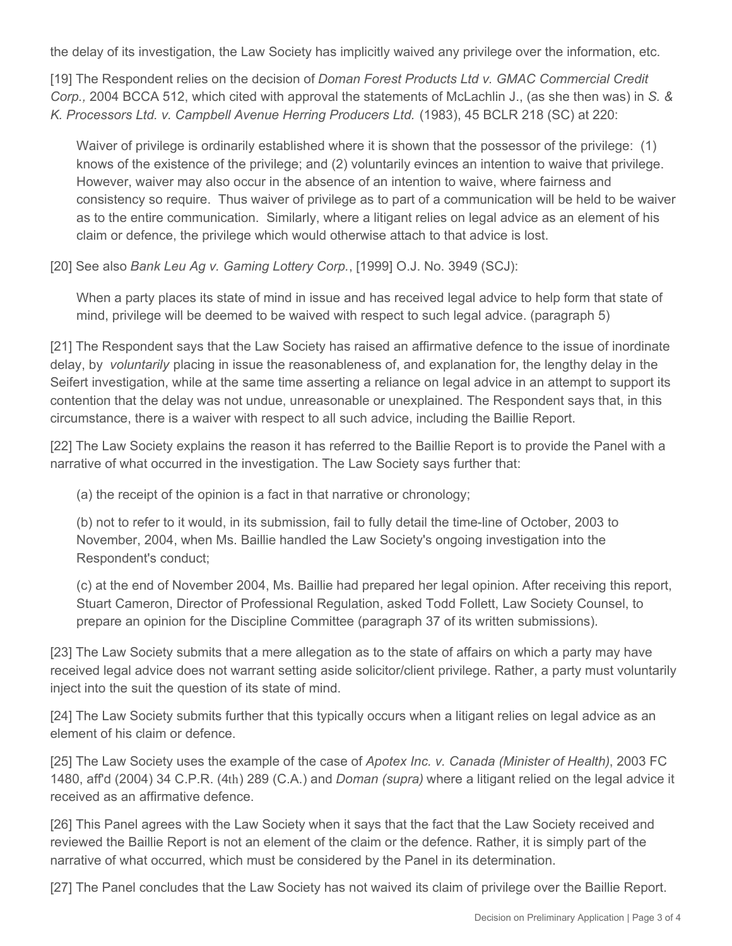the delay of its investigation, the Law Society has implicitly waived any privilege over the information, etc.

[19] The Respondent relies on the decision of *Doman Forest Products Ltd v. GMAC Commercial Credit Corp.,* 2004 BCCA 512, which cited with approval the statements of McLachlin J., (as she then was) in *S. & K. Processors Ltd. v. Campbell Avenue Herring Producers Ltd.* (1983), 45 BCLR 218 (SC) at 220:

Waiver of privilege is ordinarily established where it is shown that the possessor of the privilege: (1) knows of the existence of the privilege; and (2) voluntarily evinces an intention to waive that privilege. However, waiver may also occur in the absence of an intention to waive, where fairness and consistency so require. Thus waiver of privilege as to part of a communication will be held to be waiver as to the entire communication. Similarly, where a litigant relies on legal advice as an element of his claim or defence, the privilege which would otherwise attach to that advice is lost.

[20] See also *Bank Leu Ag v. Gaming Lottery Corp.*, [1999] O.J. No. 3949 (SCJ):

When a party places its state of mind in issue and has received legal advice to help form that state of mind, privilege will be deemed to be waived with respect to such legal advice. (paragraph 5)

[21] The Respondent says that the Law Society has raised an affirmative defence to the issue of inordinate delay, by *voluntarily* placing in issue the reasonableness of, and explanation for, the lengthy delay in the Seifert investigation, while at the same time asserting a reliance on legal advice in an attempt to support its contention that the delay was not undue, unreasonable or unexplained. The Respondent says that, in this circumstance, there is a waiver with respect to all such advice, including the Baillie Report.

[22] The Law Society explains the reason it has referred to the Baillie Report is to provide the Panel with a narrative of what occurred in the investigation. The Law Society says further that:

(a) the receipt of the opinion is a fact in that narrative or chronology;

(b) not to refer to it would, in its submission, fail to fully detail the time-line of October, 2003 to November, 2004, when Ms. Baillie handled the Law Society's ongoing investigation into the Respondent's conduct;

(c) at the end of November 2004, Ms. Baillie had prepared her legal opinion. After receiving this report, Stuart Cameron, Director of Professional Regulation, asked Todd Follett, Law Society Counsel, to prepare an opinion for the Discipline Committee (paragraph 37 of its written submissions).

[23] The Law Society submits that a mere allegation as to the state of affairs on which a party may have received legal advice does not warrant setting aside solicitor/client privilege. Rather, a party must voluntarily inject into the suit the question of its state of mind.

[24] The Law Society submits further that this typically occurs when a litigant relies on legal advice as an element of his claim or defence.

[25] The Law Society uses the example of the case of *Apotex Inc. v. Canada (Minister of Health)*, 2003 FC 1480, aff'd (2004) 34 C.P.R. (4th) 289 (C.A.) and *Doman (supra)* where a litigant relied on the legal advice it received as an affirmative defence.

[26] This Panel agrees with the Law Society when it says that the fact that the Law Society received and reviewed the Baillie Report is not an element of the claim or the defence. Rather, it is simply part of the narrative of what occurred, which must be considered by the Panel in its determination.

[27] The Panel concludes that the Law Society has not waived its claim of privilege over the Baillie Report.